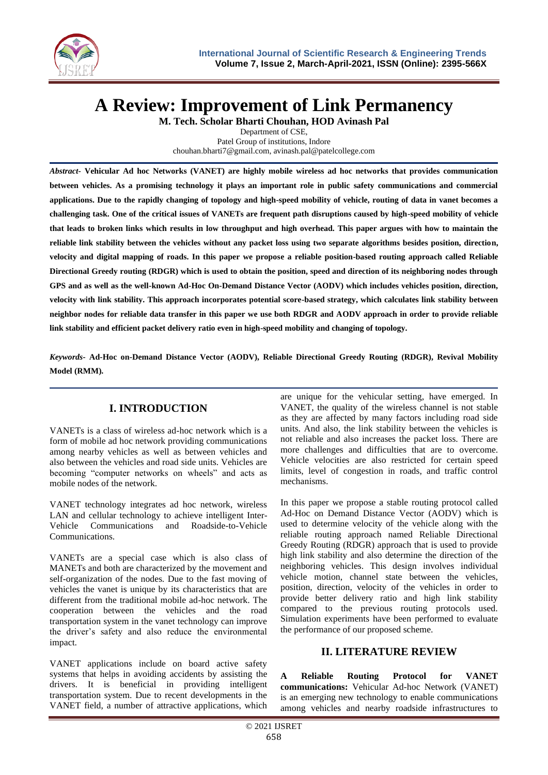

# **A Review: Improvement of Link Permanency**

**M. Tech. Scholar Bharti Chouhan, HOD Avinash Pal**

Department of CSE, Patel Group of institutions, Indore chouhan.bharti7@gmail.com, avinash.pal@patelcollege.com

*Abstract-* **Vehicular Ad hoc Networks (VANET) are highly mobile wireless ad hoc networks that provides communication between vehicles. As a promising technology it plays an important role in public safety communications and commercial applications. Due to the rapidly changing of topology and high-speed mobility of vehicle, routing of data in vanet becomes a challenging task. One of the critical issues of VANETs are frequent path disruptions caused by high-speed mobility of vehicle that leads to broken links which results in low throughput and high overhead. This paper argues with how to maintain the reliable link stability between the vehicles without any packet loss using two separate algorithms besides position, direction, velocity and digital mapping of roads. In this paper we propose a reliable position-based routing approach called Reliable Directional Greedy routing (RDGR) which is used to obtain the position, speed and direction of its neighboring nodes through GPS and as well as the well-known Ad-Hoc On-Demand Distance Vector (AODV) which includes vehicles position, direction, velocity with link stability. This approach incorporates potential score-based strategy, which calculates link stability between neighbor nodes for reliable data transfer in this paper we use both RDGR and AODV approach in order to provide reliable link stability and efficient packet delivery ratio even in high-speed mobility and changing of topology.**

*Keywords***- Ad-Hoc on-Demand Distance Vector (AODV), Reliable Directional Greedy Routing (RDGR), Revival Mobility Model (RMM).**

# **I. INTRODUCTION**

VANETs is a class of wireless ad-hoc network which is a form of mobile ad hoc network providing communications among nearby vehicles as well as between vehicles and also between the vehicles and road side units. Vehicles are becoming "computer networks on wheels" and acts as mobile nodes of the network.

VANET technology integrates ad hoc network, wireless LAN and cellular technology to achieve intelligent Inter-Vehicle Communications and Roadside-to-Vehicle Communications.

VANETs are a special case which is also class of MANETs and both are characterized by the movement and self-organization of the nodes. Due to the fast moving of vehicles the vanet is unique by its characteristics that are different from the traditional mobile ad-hoc network. The cooperation between the vehicles and the road transportation system in the vanet technology can improve the driver's safety and also reduce the environmental impact.

VANET applications include on board active safety systems that helps in avoiding accidents by assisting the drivers. It is beneficial in providing intelligent transportation system. Due to recent developments in the VANET field, a number of attractive applications, which are unique for the vehicular setting, have emerged. In VANET, the quality of the wireless channel is not stable as they are affected by many factors including road side units. And also, the link stability between the vehicles is not reliable and also increases the packet loss. There are more challenges and difficulties that are to overcome. Vehicle velocities are also restricted for certain speed limits, level of congestion in roads, and traffic control mechanisms.

In this paper we propose a stable routing protocol called Ad-Hoc on Demand Distance Vector (AODV) which is used to determine velocity of the vehicle along with the reliable routing approach named Reliable Directional Greedy Routing (RDGR) approach that is used to provide high link stability and also determine the direction of the neighboring vehicles. This design involves individual vehicle motion, channel state between the vehicles, position, direction, velocity of the vehicles in order to provide better delivery ratio and high link stability compared to the previous routing protocols used. Simulation experiments have been performed to evaluate the performance of our proposed scheme.

## **II. LITERATURE REVIEW**

**A Reliable Routing Protocol for VANET communications:** Vehicular Ad-hoc Network (VANET) is an emerging new technology to enable communications among vehicles and nearby roadside infrastructures to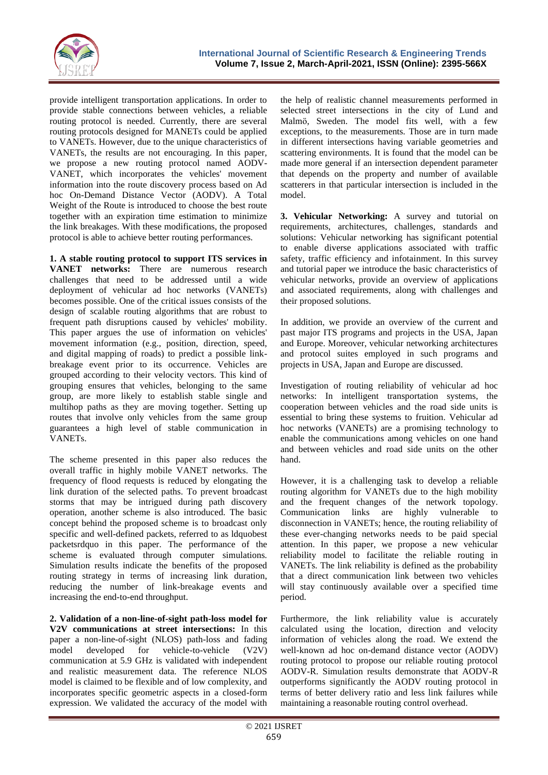

provide intelligent transportation applications. In order to provide stable connections between vehicles, a reliable routing protocol is needed. Currently, there are several routing protocols designed for MANETs could be applied to VANETs. However, due to the unique characteristics of VANETs, the results are not encouraging. In this paper, we propose a new routing protocol named AODV-VANET, which incorporates the vehicles' movement information into the route discovery process based on Ad hoc On-Demand Distance Vector (AODV). A Total Weight of the Route is introduced to choose the best route together with an expiration time estimation to minimize the link breakages. With these modifications, the proposed protocol is able to achieve better routing performances.

**1. A stable routing protocol to support ITS services in VANET networks:** There are numerous research challenges that need to be addressed until a wide deployment of vehicular ad hoc networks (VANETs) becomes possible. One of the critical issues consists of the design of scalable routing algorithms that are robust to frequent path disruptions caused by vehicles' mobility. This paper argues the use of information on vehicles' movement information (e.g., position, direction, speed, and digital mapping of roads) to predict a possible linkbreakage event prior to its occurrence. Vehicles are grouped according to their velocity vectors. This kind of grouping ensures that vehicles, belonging to the same group, are more likely to establish stable single and multihop paths as they are moving together. Setting up routes that involve only vehicles from the same group guarantees a high level of stable communication in VANETs.

The scheme presented in this paper also reduces the overall traffic in highly mobile VANET networks. The frequency of flood requests is reduced by elongating the link duration of the selected paths. To prevent broadcast storms that may be intrigued during path discovery operation, another scheme is also introduced. The basic concept behind the proposed scheme is to broadcast only specific and well-defined packets, referred to as ldquobest packetsrdquo in this paper. The performance of the scheme is evaluated through computer simulations. Simulation results indicate the benefits of the proposed routing strategy in terms of increasing link duration, reducing the number of link-breakage events and increasing the end-to-end throughput.

**2. Validation of a non-line-of-sight path-loss model for V2V communications at street intersections:** In this paper a non-line-of-sight (NLOS) path-loss and fading model developed for vehicle-to-vehicle (V2V) communication at 5.9 GHz is validated with independent and realistic measurement data. The reference NLOS model is claimed to be flexible and of low complexity, and incorporates specific geometric aspects in a closed-form expression. We validated the accuracy of the model with

the help of realistic channel measurements performed in selected street intersections in the city of Lund and Malmö, Sweden. The model fits well, with a few exceptions, to the measurements. Those are in turn made in different intersections having variable geometries and scattering environments. It is found that the model can be made more general if an intersection dependent parameter that depends on the property and number of available scatterers in that particular intersection is included in the model.

**3. Vehicular Networking:** A survey and tutorial on requirements, architectures, challenges, standards and solutions: Vehicular networking has significant potential to enable diverse applications associated with traffic safety, traffic efficiency and infotainment. In this survey and tutorial paper we introduce the basic characteristics of vehicular networks, provide an overview of applications and associated requirements, along with challenges and their proposed solutions.

In addition, we provide an overview of the current and past major ITS programs and projects in the USA, Japan and Europe. Moreover, vehicular networking architectures and protocol suites employed in such programs and projects in USA, Japan and Europe are discussed.

Investigation of routing reliability of vehicular ad hoc networks: In intelligent transportation systems, the cooperation between vehicles and the road side units is essential to bring these systems to fruition. Vehicular ad hoc networks (VANETs) are a promising technology to enable the communications among vehicles on one hand and between vehicles and road side units on the other hand.

However, it is a challenging task to develop a reliable routing algorithm for VANETs due to the high mobility and the frequent changes of the network topology. Communication links are highly vulnerable to disconnection in VANETs; hence, the routing reliability of these ever-changing networks needs to be paid special attention. In this paper, we propose a new vehicular reliability model to facilitate the reliable routing in VANETs. The link reliability is defined as the probability that a direct communication link between two vehicles will stay continuously available over a specified time period.

Furthermore, the link reliability value is accurately calculated using the location, direction and velocity information of vehicles along the road. We extend the well-known ad hoc on-demand distance vector (AODV) routing protocol to propose our reliable routing protocol AODV-R. Simulation results demonstrate that AODV-R outperforms significantly the AODV routing protocol in terms of better delivery ratio and less link failures while maintaining a reasonable routing control overhead.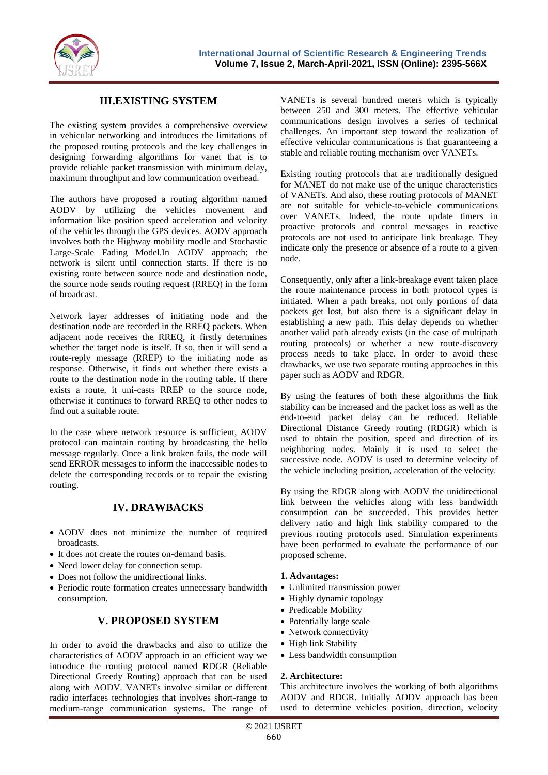

## **III.EXISTING SYSTEM**

The existing system provides a comprehensive overview in vehicular networking and introduces the limitations of the proposed routing protocols and the key challenges in designing forwarding algorithms for vanet that is to provide reliable packet transmission with minimum delay, maximum throughput and low communication overhead.

The authors have proposed a routing algorithm named AODV by utilizing the vehicles movement and information like position speed acceleration and velocity of the vehicles through the GPS devices. AODV approach involves both the Highway mobility modle and Stochastic Large-Scale Fading Model.In AODV approach; the network is silent until connection starts. If there is no existing route between source node and destination node, the source node sends routing request (RREQ) in the form of broadcast.

Network layer addresses of initiating node and the destination node are recorded in the RREQ packets. When adjacent node receives the RREQ, it firstly determines whether the target node is itself. If so, then it will send a route-reply message (RREP) to the initiating node as response. Otherwise, it finds out whether there exists a route to the destination node in the routing table. If there exists a route, it uni-casts RREP to the source node, otherwise it continues to forward RREQ to other nodes to find out a suitable route.

In the case where network resource is sufficient, AODV protocol can maintain routing by broadcasting the hello message regularly. Once a link broken fails, the node will send ERROR messages to inform the inaccessible nodes to delete the corresponding records or to repair the existing routing.

## **IV. DRAWBACKS**

- AODV does not minimize the number of required broadcasts.
- It does not create the routes on-demand basis.
- Need lower delay for connection setup.
- Does not follow the unidirectional links.
- Periodic route formation creates unnecessary bandwidth consumption.

# **V. PROPOSED SYSTEM**

In order to avoid the drawbacks and also to utilize the characteristics of AODV approach in an efficient way we introduce the routing protocol named RDGR (Reliable Directional Greedy Routing) approach that can be used along with AODV. VANETs involve similar or different radio interfaces technologies that involves short-range to medium-range communication systems. The range of

VANETs is several hundred meters which is typically between 250 and 300 meters. The effective vehicular communications design involves a series of technical challenges. An important step toward the realization of effective vehicular communications is that guaranteeing a stable and reliable routing mechanism over VANETs.

Existing routing protocols that are traditionally designed for MANET do not make use of the unique characteristics of VANETs. And also, these routing protocols of MANET are not suitable for vehicle-to-vehicle communications over VANETs. Indeed, the route update timers in proactive protocols and control messages in reactive protocols are not used to anticipate link breakage. They indicate only the presence or absence of a route to a given node.

Consequently, only after a link-breakage event taken place the route maintenance process in both protocol types is initiated. When a path breaks, not only portions of data packets get lost, but also there is a significant delay in establishing a new path. This delay depends on whether another valid path already exists (in the case of multipath routing protocols) or whether a new route-discovery process needs to take place. In order to avoid these drawbacks, we use two separate routing approaches in this paper such as AODV and RDGR.

By using the features of both these algorithms the link stability can be increased and the packet loss as well as the end-to-end packet delay can be reduced. Reliable Directional Distance Greedy routing (RDGR) which is used to obtain the position, speed and direction of its neighboring nodes. Mainly it is used to select the successive node. AODV is used to determine velocity of the vehicle including position, acceleration of the velocity.

By using the RDGR along with AODV the unidirectional link between the vehicles along with less bandwidth consumption can be succeeded. This provides better delivery ratio and high link stability compared to the previous routing protocols used. Simulation experiments have been performed to evaluate the performance of our proposed scheme.

#### **1. Advantages:**

- Unlimited transmission power
- Highly dynamic topology
- Predicable Mobility
- Potentially large scale
- Network connectivity
- High link Stability
- Less bandwidth consumption

#### **2. Architecture:**

This architecture involves the working of both algorithms AODV and RDGR. Initially AODV approach has been used to determine vehicles position, direction, velocity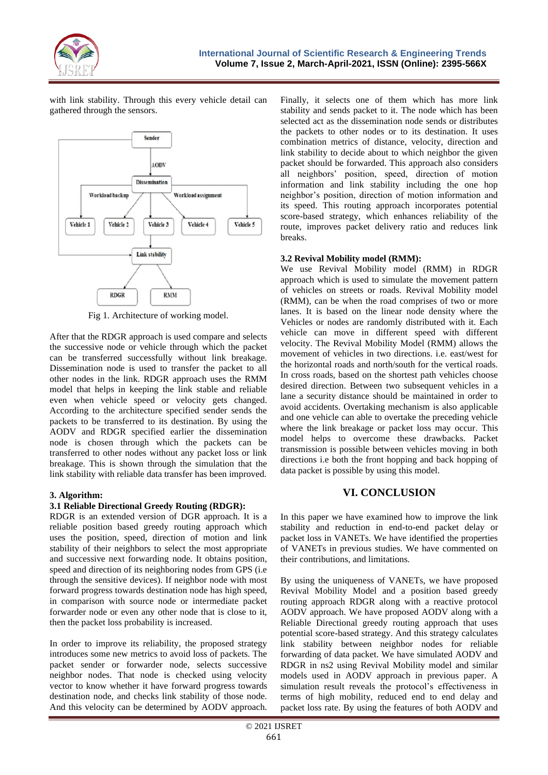

with link stability. Through this every vehicle detail can gathered through the sensors.



Fig 1. Architecture of working model.

After that the RDGR approach is used compare and selects the successive node or vehicle through which the packet can be transferred successfully without link breakage. Dissemination node is used to transfer the packet to all other nodes in the link. RDGR approach uses the RMM model that helps in keeping the link stable and reliable even when vehicle speed or velocity gets changed. According to the architecture specified sender sends the packets to be transferred to its destination. By using the AODV and RDGR specified earlier the dissemination node is chosen through which the packets can be transferred to other nodes without any packet loss or link breakage. This is shown through the simulation that the link stability with reliable data transfer has been improved.

## **3. Algorithm:**

## **3.1 Reliable Directional Greedy Routing (RDGR):**

RDGR is an extended version of DGR approach. It is a reliable position based greedy routing approach which uses the position, speed, direction of motion and link stability of their neighbors to select the most appropriate and successive next forwarding node. It obtains position, speed and direction of its neighboring nodes from GPS (i.e through the sensitive devices). If neighbor node with most forward progress towards destination node has high speed, in comparison with source node or intermediate packet forwarder node or even any other node that is close to it, then the packet loss probability is increased.

In order to improve its reliability, the proposed strategy introduces some new metrics to avoid loss of packets. The packet sender or forwarder node, selects successive neighbor nodes. That node is checked using velocity vector to know whether it have forward progress towards destination node, and checks link stability of those node. And this velocity can be determined by AODV approach.

Finally, it selects one of them which has more link stability and sends packet to it. The node which has been selected act as the dissemination node sends or distributes the packets to other nodes or to its destination. It uses combination metrics of distance, velocity, direction and link stability to decide about to which neighbor the given packet should be forwarded. This approach also considers all neighbors' position, speed, direction of motion information and link stability including the one hop neighbor's position, direction of motion information and its speed. This routing approach incorporates potential score-based strategy, which enhances reliability of the route, improves packet delivery ratio and reduces link breaks.

## **3.2 Revival Mobility model (RMM):**

We use Revival Mobility model (RMM) in RDGR approach which is used to simulate the movement pattern of vehicles on streets or roads. Revival Mobility model (RMM), can be when the road comprises of two or more lanes. It is based on the linear node density where the Vehicles or nodes are randomly distributed with it. Each vehicle can move in different speed with different velocity. The Revival Mobility Model (RMM) allows the movement of vehicles in two directions. i.e. east/west for the horizontal roads and north/south for the vertical roads. In cross roads, based on the shortest path vehicles choose desired direction. Between two subsequent vehicles in a lane a security distance should be maintained in order to avoid accidents. Overtaking mechanism is also applicable and one vehicle can able to overtake the preceding vehicle where the link breakage or packet loss may occur. This model helps to overcome these drawbacks. Packet transmission is possible between vehicles moving in both directions i.e both the front hopping and back hopping of data packet is possible by using this model.

# **VI. CONCLUSION**

In this paper we have examined how to improve the link stability and reduction in end-to-end packet delay or packet loss in VANETs. We have identified the properties of VANETs in previous studies. We have commented on their contributions, and limitations.

By using the uniqueness of VANETs, we have proposed Revival Mobility Model and a position based greedy routing approach RDGR along with a reactive protocol AODV approach. We have proposed AODV along with a Reliable Directional greedy routing approach that uses potential score-based strategy. And this strategy calculates link stability between neighbor nodes for reliable forwarding of data packet. We have simulated AODV and RDGR in ns2 using Revival Mobility model and similar models used in AODV approach in previous paper. A simulation result reveals the protocol's effectiveness in terms of high mobility, reduced end to end delay and packet loss rate. By using the features of both AODV and